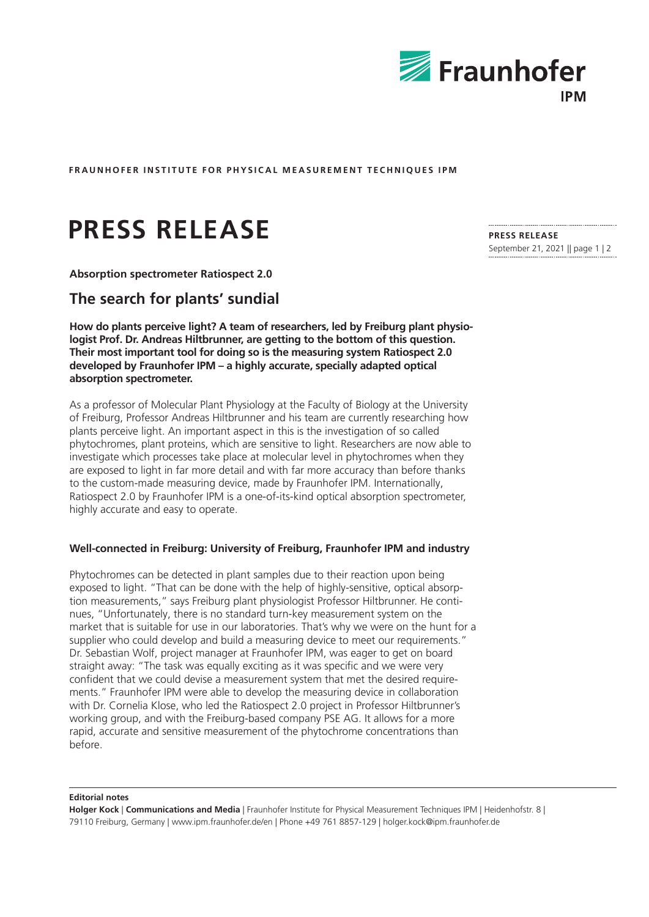

**FRAUNHOFER INSTITUTE FOR PHYSICAL MEASUREMENT TECHNIQUES IPM**

# **PRESS RELEASE**

**Absorption spectrometer Ratiospect 2.0**

# **The search for plants' sundial**

**How do plants perceive light? A team of researchers, led by Freiburg plant physiologist Prof. Dr. Andreas Hiltbrunner, are getting to the bottom of this question. Their most important tool for doing so is the measuring system Ratiospect 2.0 developed by Fraunhofer IPM – a highly accurate, specially adapted optical absorption spectrometer.**

As a professor of Molecular Plant Physiology at the Faculty of Biology at the University of Freiburg, Professor Andreas Hiltbrunner and his team are currently researching how plants perceive light. An important aspect in this is the investigation of so called phytochromes, plant proteins, which are sensitive to light. Researchers are now able to investigate which processes take place at molecular level in phytochromes when they are exposed to light in far more detail and with far more accuracy than before thanks to the custom-made measuring device, made by Fraunhofer IPM. Internationally, Ratiospect 2.0 by Fraunhofer IPM is a one-of-its-kind optical absorption spectrometer, highly accurate and easy to operate.

## **Well-connected in Freiburg: University of Freiburg, Fraunhofer IPM and industry**

Phytochromes can be detected in plant samples due to their reaction upon being exposed to light. "That can be done with the help of highly-sensitive, optical absorption measurements," says Freiburg plant physiologist Professor Hiltbrunner. He continues, "Unfortunately, there is no standard turn-key measurement system on the market that is suitable for use in our laboratories. That's why we were on the hunt for a supplier who could develop and build a measuring device to meet our requirements." Dr. Sebastian Wolf, project manager at Fraunhofer IPM, was eager to get on board straight away: "The task was equally exciting as it was specific and we were very confident that we could devise a measurement system that met the desired requirements." Fraunhofer IPM were able to develop the measuring device in collaboration with Dr. Cornelia Klose, who led the Ratiospect 2.0 project in Professor Hiltbrunner's working group, and with the Freiburg-based company PSE AG. It allows for a more rapid, accurate and sensitive measurement of the phytochrome concentrations than before.

#### **Editorial notes**

**Holger Kock** | **Communications and Media** | Fraunhofer Institute for Physical Measurement Techniques IPM | Heidenhofstr. 8 | 79110 Freiburg, Germany | www.ipm.fraunhofer.de/en | Phone +49 761 8857-129 | holger.kock@ipm.fraunhofer.de

**PRESS RELEASE** September 21, 2021 || page 1 | 2